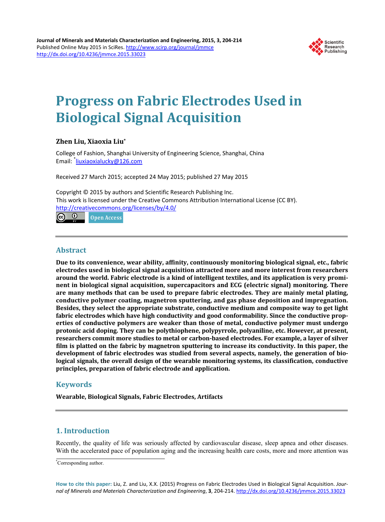

# **Progress on Fabric Electrodes Used in Biological Signal Acquisition**

# **Zhen Liu, Xiaoxia Liu\***

College of Fashion, Shanghai University of Engineering Science, Shanghai, China Email: <sup>\*</sup>[liuxiaoxialucky@126.com](mailto:liuxiaoxialucky@126.com)

Received 27 March 2015; accepted 24 May 2015; published 27 May 2015

Copyright © 2015 by authors and Scientific Research Publishing Inc. This work is licensed under the Creative Commons Attribution International License (CC BY). <http://creativecommons.org/licenses/by/4.0/>

(ශ)  $\odot$ Open Access

# **Abstract**

**Due to its convenience, wear ability, affinity, continuously monitoring biological signal, etc., fabric electrodes used in biological signal acquisition attracted more and more interest from researchers around the world. Fabric electrode is a kind of intelligent textiles, and its application is very prominent in biological signal acquisition, supercapacitors and ECG (electric signal) monitoring. There are many methods that can be used to prepare fabric electrodes. They are mainly metal plating, conductive polymer coating, magnetron sputtering, and gas phase deposition and impregnation. Besides, they select the appropriate substrate, conductive medium and composite way to get light fabric electrodes which have high conductivity and good conformability. Since the conductive properties of conductive polymers are weaker than those of metal, conductive polymer must undergo protonic acid doping. They can be polythiophene, polypyrrole, polyaniline, etc. However, at present, researchers commit more studies to metal or carbon-based electrodes. For example, a layer of silver film is platted on the fabric by magnetron sputtering to increase its conductivity. In this paper, the development of fabric electrodes was studied from several aspects, namely, the generation of biological signals, the overall design of the wearable monitoring systems, its classification, conductive principles, preparation of fabric electrode and application.**

# **Keywords**

**Wearable, Biological Signals, Fabric Electrodes, Artifacts**

# **1. Introduction**

Recently, the quality of life was seriously affected by cardiovascular disease, sleep apnea and other diseases. With the accelerated pace of population aging and the increasing health care costs, more and more attention was

**How to cite this paper:** Liu, Z. and Liu, X.X. (2015) Progress on Fabric Electrodes Used in Biological Signal Acquisition. *Journal of Minerals and Materials Characterization and Engineering*, **3**, 204-214. <http://dx.doi.org/10.4236/jmmce.2015.33023>

<sup>\*</sup> Corresponding author.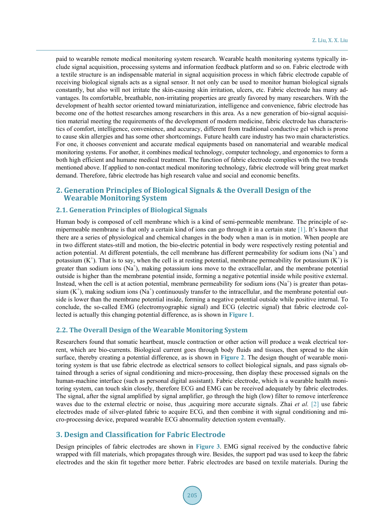paid to wearable remote medical monitoring system research. Wearable health monitoring systems typically include signal acquisition, processing systems and information feedback platform and so on. Fabric electrode with a textile structure is an indispensable material in signal acquisition process in which fabric electrode capable of receiving biological signals acts as a signal sensor. It not only can be used to monitor human biological signals constantly, but also will not irritate the skin-causing skin irritation, ulcers, etc. Fabric electrode has many advantages. Its comfortable, breathable, non-irritating properties are greatly favored by many researchers. With the development of health sector oriented toward miniaturization, intelligence and convenience, fabric electrode has become one of the hottest researches among researchers in this area. As a new generation of bio-signal acquisition material meeting the requirements of the development of modern medicine, fabric electrode has characteristics of comfort, intelligence, convenience, and accuracy, different from traditional conductive gel which is prone to cause skin allergies and has some other shortcomings. Future health care industry has two main characteristics. For one, it chooses convenient and accurate medical equipments based on nanomaterial and wearable medical monitoring systems. For another, it combines medical technology, computer technology, and ergonomics to form a both high efficient and humane medical treatment. The function of fabric electrode complies with the two trends mentioned above. If applied to non-contact medical monitoring technology, fabric electrode will bring great market demand. Therefore, fabric electrode has high research value and social and economic benefits.

# **2. Generation Principles of Biological Signals & the Overall Design of the Wearable Monitoring System**

## **2.1. Generation Principles of Biological Signals**

Human body is composed of cell membrane which is a kind of semi-permeable membrane. The principle of semipermeable membrane is that only a certain kind of ions can go through it in a certain state [\[1\].](#page-9-0) It's known that there are a series of physiological and chemical changes in the body when a man is in motion. When people are in two different states-still and motion, the bio-electric potential in body were respectively resting potential and action potential. At different potentials, the cell membrane has different permeability for sodium ions ( $Na<sup>+</sup>$ ) and potassium  $(K^+)$ . That is to say, when the cell is at resting potential, membrane permeability for potassium  $(K^+)$  is greater than sodium ions  $(Na^+)$ , making potassium ions move to the extracellular, and the membrane potential outside is higher than the membrane potential inside, forming a negative potential inside while positive external. Instead, when the cell is at action potential, membrane permeability for sodium ions  $(Na^+)$  is greater than potassium  $(K^+)$ , making sodium ions  $(Na^+)$  continuously transfer to the intracellular, and the membrane potential outside is lower than the membrane potential inside, forming a negative potential outside while positive internal. To conclude, the so-called EMG (electromyographic signal) and ECG (electric signal) that fabric electrode collected is actually this changing potential difference, as is shown in **[Figure](#page-2-0) 1**.

#### **2.2. The Overall Design of the Wearable Monitoring System**

Researchers found that somatic heartbeat, muscle contraction or other action will produce a weak electrical torrent, which are bio-currents. Biological current goes through body fluids and tissues, then spread to the skin surface, thereby creating a potential difference, as is shown in **[Figure](#page-2-1) 2**. The design thought of wearable monitoring system is that use fabric electrode as electrical sensors to collect biological signals, and pass signals obtained through a series of signal conditioning and micro-processing, then display these processed signals on the human-machine interface (such as personal digital assistant). Fabric electrode, which is a wearable health monitoring system, can touch skin closely, therefore ECG and EMG can be received adequately by fabric electrodes. The signal, after the signal amplified by signal amplifier, go through the high (low) filter to remove interference waves due to the external electric or noise, thus ,acquiring more accurate signals. Zhai *et al.* [\[2\]](#page-9-1) use fabric electrodes made of silver-plated fabric to acquire ECG, and then combine it with signal conditioning and micro-processing device, prepared wearable ECG abnormality detection system eventually.

## **3. Design and Classification for Fabric Electrode**

Design principles of fabric electrodes are shown in **[Figure 3](#page-2-2)**. EMG signal received by the conductive fabric wrapped with fill materials, which propagates through wire. Besides, the support pad was used to keep the fabric electrodes and the skin fit together more better. Fabric electrodes are based on textile materials. During the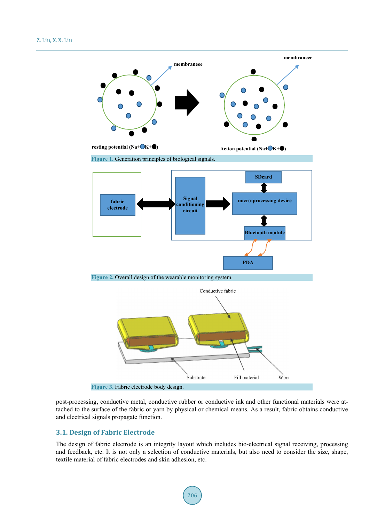<span id="page-2-1"></span><span id="page-2-0"></span>

<span id="page-2-2"></span>post-processing, conductive metal, conductive rubber or conductive ink and other functional materials were attached to the surface of the fabric or yarn by physical or chemical means. As a result, fabric obtains conductive and electrical signals propagate function.

## **3.1. Design of Fabric Electrode**

The design of fabric electrode is an integrity layout which includes bio-electrical signal receiving, processing and feedback, etc. It is not only a selection of conductive materials, but also need to consider the size, shape, textile material of fabric electrodes and skin adhesion, etc.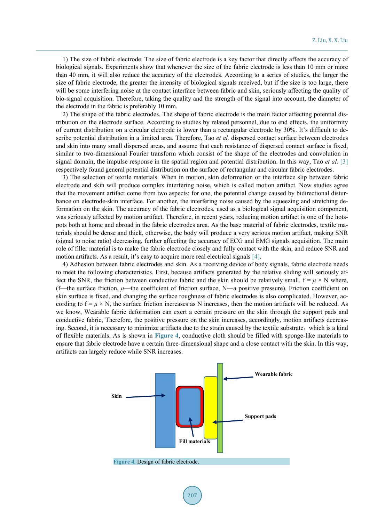1) The size of fabric electrode. The size of fabric electrode is a key factor that directly affects the accuracy of biological signals. Experiments show that whenever the size of the fabric electrode is less than 10 mm or more than 40 mm, it will also reduce the accuracy of the electrodes. According to a series of studies, the larger the size of fabric electrode, the greater the intensity of biological signals received, but if the size is too large, there will be some interfering noise at the contact interface between fabric and skin, seriously affecting the quality of bio-signal acquisition. Therefore, taking the quality and the strength of the signal into account, the diameter of the electrode in the fabric is preferably 10 mm.

2) The shape of the fabric electrodes. The shape of fabric electrode is the main factor affecting potential distribution on the electrode surface. According to studies by related personnel, due to end effects, the uniformity of current distribution on a circular electrode is lower than a rectangular electrode by 30%. It's difficult to describe potential distribution in a limited area. Therefore, Tao *et al.* dispersed contact surface between electrodes and skin into many small dispersed areas, and assume that each resistance of dispersed contact surface is fixed, similar to two-dimensional Fourier transform which consist of the shape of the electrodes and convolution in signal domain, the impulse response in the spatial region and potential distribution. In this way, Tao *et al.* [\[3\]](#page-9-2) respectively found general potential distribution on the surface of rectangular and circular fabric electrodes.

3) The selection of textile materials. When in motion, skin deformation or the interface slip between fabric electrode and skin will produce complex interfering noise, which is called motion artifact. Now studies agree that the movement artifact come from two aspects: for one, the potential change caused by bidirectional disturbance on electrode-skin interface. For another, the interfering noise caused by the squeezing and stretching deformation on the skin. The accuracy of the fabric electrodes, used as a biological signal acquisition component, was seriously affected by motion artifact. Therefore, in recent years, reducing motion artifact is one of the hotspots both at home and abroad in the fabric electrodes area. As the base material of fabric electrodes, textile materials should be dense and thick, otherwise, the body will produce a very serious motion artifact, making SNR (signal to noise ratio) decreasing, further affecting the accuracy of ECG and EMG signals acquisition. The main role of filler material is to make the fabric electrode closely and fully contact with the skin, and reduce SNR and motion artifacts. As a result, it's easy to acquire more real electrical signals [\[4\].](#page-9-3)

4) Adhesion between fabric electrodes and skin. As a receiving device of body signals, fabric electrode needs to meet the following characteristics. First, because artifacts generated by the relative sliding will seriously affect the SNR, the friction between conductive fabric and the skin should be relatively small.  $f = \mu \times N$  where, (f—the surface friction, *μ*—the coefficient of friction surface, N—a positive pressure). Friction coefficient on skin surface is fixed, and changing the surface roughness of fabric electrodes is also complicated. However, according to  $f = \mu \times N$ , the surface friction increases as N increases, then the motion artifacts will be reduced. As we know, Wearable fabric deformation can exert a certain pressure on the skin through the support pads and conductive fabric, Therefore, the positive pressure on the skin increases, accordingly, motion artifacts decreasing. Second, it is necessary to minimize artifacts due to the strain caused by the textile substrate, which is a kind of flexible materials. As is shown in **[Figure](#page-3-0) 4**, conductive cloth should be filled with sponge-like materials to ensure that fabric electrode have a certain three-dimensional shape and a close contact with the skin. In this way, artifacts can largely reduce while SNR increases.

<span id="page-3-0"></span>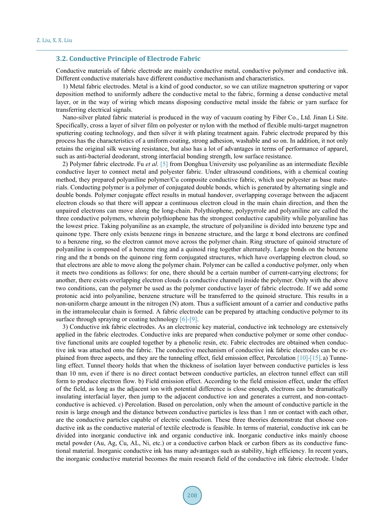#### **3.2. Conductive Principle of Electrode Fabric**

Conductive materials of fabric electrode are mainly conductive metal, conductive polymer and conductive ink. Different conductive materials have different conductive mechanism and characteristics.

1) Metal fabric electrodes. Metal is a kind of good conductor, so we can utilize magnetron sputtering or vapor deposition method to uniformly adhere the conductive metal to the fabric, forming a dense conductive metal layer, or in the way of wiring which means disposing conductive metal inside the fabric or yarn surface for transferring electrical signals.

Nano-silver plated fabric material is produced in the way of vacuum coating by Fiber Co., Ltd. Jinan Li Site. Specifically, cross a layer of silver film on polyester or nylon with the method of flexible multi-target magnetron sputtering coating technology, and then silver it with plating treatment again. Fabric electrode prepared by this process has the characteristics of a uniform coating, strong adhesion, washable and so on. In addition, it not only retains the original silk weaving resistance, but also has a lot of advantages in terms of performance of apparel, such as anti-bacterial deodorant, strong interfacial bonding strength, low surface resistance.

2) Polymer fabric electrode. Fu *et al.* [\[5\]](#page-9-4) from Donghua University use polyaniline as an intermediate flexible conductive layer to connect metal and polyester fabric. Under ultrasound conditions, with a chemical coating method, they prepared polyaniline polymer/Cu composite conductive fabric, which use polyester as base materials. Conducting polymer is a polymer of conjugated double bonds, which is generated by alternating single and double bonds. Polymer conjugate effect results in mutual handover, overlapping coverage between the adjacent electron clouds so that there will appear a continuous electron cloud in the main chain direction, and then the unpaired electrons can move along the long-chain. Polythiophene, polypyrrole and polyaniline are called the three conductive polymers, wherein polythiophene has the strongest conductive capability while polyaniline has the lowest price. Taking polyaniline as an example, the structure of polyaniline is divided into benzene type and quinone type. There only exists benzene rings in benzene structure, and the large  $\pi$  bond electrons are confined to a benzene ring, so the electron cannot move across the polymer chain. Ring structure of quinoid structure of polyaniline is composed of a benzene ring and a quinoid ring together alternately. Large bonds on the benzene ring and the  $\pi$  bonds on the quinone ring form conjugated structures, which have overlapping electron cloud, so that electrons are able to move along the polymer chain. Polymer can be called a conductive polymer, only when it meets two conditions as follows: for one, there should be a certain number of current-carrying electrons; for another, there exists overlapping electron clouds (a conductive channel) inside the polymer. Only with the above two conditions, can the polymer be used as the polymer conductive layer of fabric electrode. If we add some protonic acid into polyaniline, benzene structure will be transferred to the quinoid structure. This results in a non-uniform charge amount in the nitrogen (N) atom. Thus a sufficient amount of a carrier and conductive paths in the intramolecular chain is formed. A fabric electrode can be prepared by attaching conductive polymer to its surface through spraying or coating technology [\[6\]](#page-9-5)[-\[9\].](#page-9-6)

3) Conductive ink fabric electrodes. As an electronic key material, conductive ink technology are extensively applied in the fabric electrodes. Conductive inks are prepared when conductive polymer or some other conductive functional units are coupled together by a phenolic resin, etc. Fabric electrodes are obtained when conductive ink was attached onto the fabric. The conductive mechanism of conductive ink fabric electrodes can be explained from three aspects, and they are the tunneling effect, field emission effect, Percolatio[n \[10\]](#page-9-7)[-\[15\].](#page-9-8) a) Tunneling effect. Tunnel theory holds that when the thickness of isolation layer between conductive particles is less than 10 nm, even if there is no direct contact between conductive particles, an electron tunnel effect can still form to produce electron flow. b) Field emission effect. According to the field emission effect, under the effect of the field, as long as the adjacent ion with potential difference is close enough, electrons can be dramatically insulating interfacial layer, then jump to the adjacent conductive ion and generates a current, and non-contactconductive is achieved. c) Percolation. Based on percolation, only when the amount of conductive particle in the resin is large enough and the distance between conductive particles is less than 1 nm or contact with each other, are the conductive particles capable of electric conduction. These three theories demonstrate that choose conductive ink as the conductive material of textile electrode is feasible. In terms of material, conductive ink can be divided into inorganic conductive ink and organic conductive ink. Inorganic conductive inks mainly choose metal powder (Au, Ag, Cu, AL, Ni, etc.) or a conductive carbon black or carbon fibers as its conductive functional material. Inorganic conductive ink has many advantages such as stability, high efficiency. In recent years, the inorganic conductive material becomes the main research field of the conductive ink fabric electrode. Under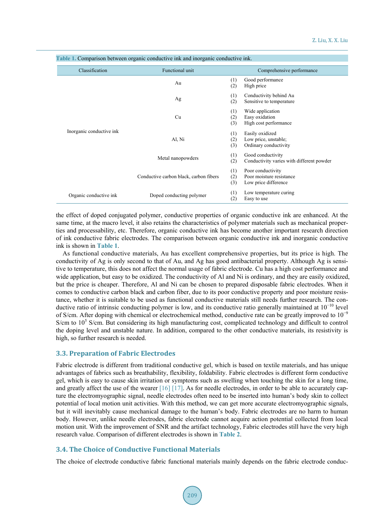| Classification                                     | Functional unit                        | Comprehensive performance |                                                                       |  |  |
|----------------------------------------------------|----------------------------------------|---------------------------|-----------------------------------------------------------------------|--|--|
| Inorganic conductive ink                           | Au                                     | (1)<br>(2)                | Good performance<br>High price                                        |  |  |
|                                                    | Ag                                     | (1)<br>(2)                | Conductivity behind Au<br>Sensitive to temperature                    |  |  |
|                                                    | Cu                                     | (1)<br>(2)<br>(3)         | Wide application<br>Easy oxidation<br>High cost performance           |  |  |
|                                                    | Al, Ni                                 | (1)<br>(2)<br>(3)         | Easily oxidized<br>Low price, unstable;<br>Ordinary conductivity      |  |  |
|                                                    | Metal nanopowders                      | (1)<br>(2)                | Good conductivity<br>Conductivity varies with different powder        |  |  |
|                                                    | Conductive carbon black, carbon fibers | (1)<br>(2)<br>(3)         | Poor conductivity<br>Poor moisture resistance<br>Low price difference |  |  |
| Organic conductive ink<br>Doped conducting polymer |                                        | (1)<br>(2)                | Low temperature curing<br>Easy to use                                 |  |  |

<span id="page-5-0"></span>**Table 1.** Comparison between organic conductive ink and inorganic conductive ink.

the effect of doped conjugated polymer, conductive properties of organic conductive ink are enhanced. At the same time, at the macro level, it also retains the characteristics of polymer materials such as mechanical properties and processability, etc. Therefore, organic conductive ink has become another important research direction of ink conductive fabric electrodes. The comparison between organic conductive ink and inorganic conductive ink is shown in **[Table 1](#page-5-0)**.

As functional conductive materials, Au has excellent comprehensive properties, but its price is high. The conductivity of Ag is only second to that of Au, and Ag has good antibacterial property. Although Ag is sensitive to temperature, this does not affect the normal usage of fabric electrode. Cu has a high cost performance and wide application, but easy to be oxidized. The conductivity of Al and Ni is ordinary, and they are easily oxidized, but the price is cheaper. Therefore, Al and Ni can be chosen to prepared disposable fabric electrodes. When it comes to conductive carbon black and carbon fiber, due to its poor conductive property and poor moisture resistance, whether it is suitable to be used as functional conductive materials still needs further research. The conductive ratio of intrinsic conducting polymer is low, and its conductive ratio generally maintained at 10<sup>−</sup><sup>10</sup> level of S/cm. After doping with chemical or electrochemical method, conductive rate can be greatly improved to  $10^{-9}$  $S/cm$  to  $10^5$  S/cm. But considering its high manufacturing cost, complicated technology and difficult to control the doping level and unstable nature. In addition, compared to the other conductive materials, its resistivity is high, so further research is needed.

## **3.3. Preparation of Fabric Electrodes**

Fabric electrode is different from traditional conductive gel, which is based on textile materials, and has unique advantages of fabrics such as breathability, flexibility, foldability. Fabric electrodes is different form conductive gel, which is easy to cause skin irritation or symptoms such as swelling when touching the skin for a long time, and greatly affect the use of the weare[r \[16\]](#page-10-0) [\[17\].](#page-10-1) As for needle electrodes, in order to be able to accurately capture the electromyographic signal, needle electrodes often need to be inserted into human's body skin to collect potential of local motion unit activities. With this method, we can get more accurate electromyographic signals, but it will inevitably cause mechanical damage to the human's body. Fabric electrodes are no harm to human body. However, unlike needle electrodes, fabric electrode cannot acquire action potential collected from local motion unit. With the improvement of SNR and the artifact technology, Fabric electrodes still have the very high research value. Comparison of different electrodes is shown in **[Table 2](#page-6-0)**.

## **3.4. The Choice of Conductive Functional Materials**

The choice of electrode conductive fabric functional materials mainly depends on the fabric electrode conduc-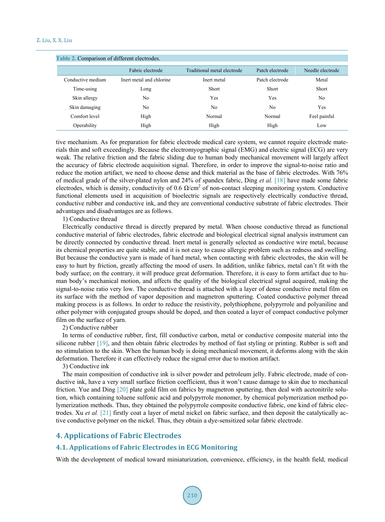<span id="page-6-0"></span>

| Table 2. Comparison of different electrodes. |                          |                             |                 |                  |  |  |  |
|----------------------------------------------|--------------------------|-----------------------------|-----------------|------------------|--|--|--|
|                                              | Fabric electrode         | Traditional metal electrode | Patch electrode | Needle electrode |  |  |  |
| Conductive medium                            | Inert metal and chlorine | Inert metal                 | Patch electrode | Metal            |  |  |  |
| Time-using                                   | Long                     | Short                       | Short           | Short            |  |  |  |
| Skin allergy                                 | No                       | Yes                         | Yes             | No               |  |  |  |
| Skin damaging                                | No                       | No                          | No              | Yes              |  |  |  |
| Comfort level                                | High                     | Normal                      | Normal          | Feel painful     |  |  |  |
| Operability                                  | High                     | High                        | High            | Low              |  |  |  |

tive mechanism. As for preparation for fabric electrode medical care system, we cannot require electrode materials thin and soft exceedingly. Because the electromyographic signal (EMG) and electric signal (ECG) are very weak. The relative friction and the fabric sliding due to human body mechanical movement will largely affect the accuracy of fabric electrode acquisition signal. Therefore, in order to improve the signal-to-noise ratio and reduce the motion artifact, we need to choose dense and thick material as the base of fabric electrodes. With 76% of medical grade of the silver-plated nylon and 24% of spandex fabric, Ding *et al.* [\[18\]](#page-10-2) have made some fabric electrodes, which is density, conductivity of 0.6  $\Omega/cm^2$  of non-contact sleeping monitoring system. Conductive functional elements used in acquisition of bioelectric signals are respectively electrically conductive thread, conductive rubber and conductive ink, and they are conventional conductive substrate of fabric electrodes. Their advantages and disadvantages are as follows.

1) Conductive thread

Electrically conductive thread is directly prepared by metal. When choose conductive thread as functional conductive material of fabric electrodes, fabric electrode and biological electrical signal analysis instrument can be directly connected by conductive thread. Inert metal is generally selected as conductive wire metal, because its chemical properties are quite stable, and it is not easy to cause allergic problem such as redness and swelling. But because the conductive yarn is made of hard metal, when contacting with fabric electrodes, the skin will be easy to hurt by friction, greatly affecting the mood of users. In addition, unlike fabrics, metal can't fit with the body surface; on the contrary, it will produce great deformation. Therefore, it is easy to form artifact due to human body's mechanical motion, and affects the quality of the biological electrical signal acquired, making the signal-to-noise ratio very low. The conductive thread is attached with a layer of dense conductive metal film on its surface with the method of vapor deposition and magnetron sputtering. Coated conductive polymer thread making process is as follows. In order to reduce the resistivity, polythiophene, polypyrrole and polyaniline and other polymer with conjugated groups should be doped, and then coated a layer of compact conductive polymer film on the surface of yarn.

2) Conductive rubber

In terms of conductive rubber, first, fill conductive carbon, metal or conductive composite material into the silicone rubber [\[19\],](#page-10-3) and then obtain fabric electrodes by method of fast styling or printing. Rubber is soft and no stimulation to the skin. When the human body is doing mechanical movement, it deforms along with the skin deformation. Therefore it can effectively reduce the signal error due to motion artifact.

3) Conductive ink

The main composition of conductive ink is silver powder and petroleum jelly. Fabric electrode, made of conductive ink, have a very small surface friction coefficient, thus it won't cause damage to skin due to mechanical friction. Yue and Ding [\[20\]](#page-10-4) plate gold film on fabrics by magnetron sputtering, then deal with acetonitrile solution, which containing toluene sulfonic acid and polypyrrole monomer, by chemical polymerization method polymerization methods. Thus, they obtained the polypyrrole composite conductive fabric, one kind of fabric electrodes. Xu *et al.* [\[21\]](#page-10-5) firstly coat a layer of metal nickel on fabric surface, and then deposit the catalytically active conductive polymer on the nickel. Thus, they obtain a dye-sensitized solar fabric electrode.

# **4. Applications of Fabric Electrodes**

## **4.1. Applications of Fabric Electrodes in ECG Monitoring**

With the development of medical toward miniaturization, convenience, efficiency, in the health field, medical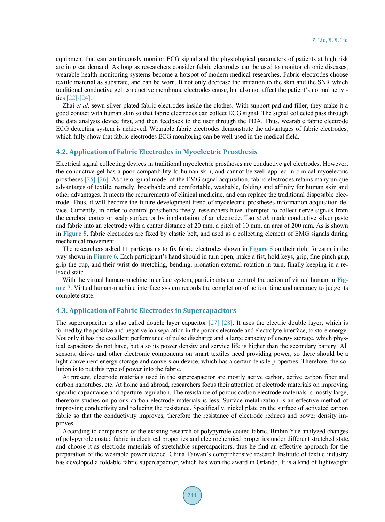equipment that can continuously monitor ECG signal and the physiological parameters of patients at high risk are in great demand. As long as researchers consider fabric electrodes can be used to monitor chronic diseases, wearable health monitoring systems become a hotspot of modern medical researches. Fabric electrodes choose textile material as substrate, and can be worn. It not only decrease the irritation to the skin and the SNR which traditional conductive gel, conductive membrane electrodes cause, but also not affect the patient's normal activities [\[22\]-](#page-10-6)[\[24\].](#page-10-7)

Zhai *et al.* sewn silver-plated fabric electrodes inside the clothes. With support pad and filler, they make it a good contact with human skin so that fabric electrodes can collect ECG signal. The signal collected pass through the data analysis device first, and then feedback to the user through the PDA. Thus, wearable fabric electrode ECG detecting system is achieved. Wearable fabric electrodes demonstrate the advantages of fabric electrodes, which fully show that fabric electrodes ECG monitoring can be well used in the medical field.

#### **4.2. Application of Fabric Electrodes in Myoelectric Prosthesis**

Electrical signal collecting devices in traditional myoelectric prostheses are conductive gel electrodes. However, the conductive gel has a poor compatibility to human skin, and cannot be well applied in clinical myoelectric prostheses [\[25\]-](#page-10-8)[\[26\].](#page-10-9) As the original model of the EMG signal acquisition, fabric electrodes retains many unique advantages of textile, namely, breathable and comfortable, washable, folding and affinity for human skin and other advantages. It meets the requirements of clinical medicine, and can replace the traditional disposable electrode. Thus, it will become the future development trend of myoelectric prostheses information acquisition device. Currently, in order to control prosthetics freely, researchers have attempted to collect nerve signals from the cerebral cortex or scalp surface or by implantation of an electrode. Tao *et al.* made conductive silver paste and fabric into an electrode with a center distance of 20 mm, a pitch of 10 mm, an area of 200 mm. As is shown in **[Figure](#page-8-0) 5**, fabric electrodes are fixed by elastic belt, and used as a collecting element of EMG signals during mechanical movement.

The researchers asked 11 participants to fix fabric electrodes shown in **[Figure 5](#page-8-0)** on their right forearm in the way shown in **[Figure 6](#page-8-1)**. Each participant's hand should in turn open, make a fist, hold keys, grip, fine pinch grip, grip the cup, and their wrist do stretching, bending, pronation external rotation in turn, finally keeping in a relaxed state.

With the virtual human-machine interface system, participants can control the action of virtual human in **[Fig](#page-8-2)[ure 7](#page-8-2)**. Virtual human-machine interface system records the completion of action, time and accuracy to judge its complete state.

## **4.3. Application of Fabric Electrodes in Supercapacitors**

The supercapacitor is also called double layer capacitor [\[27\]](#page-10-10) [\[28\].](#page-10-11) It uses the electric double layer, which is formed by the positive and negative ion separation in the porous electrode and electrolyte interface, to store energy. Not only it has the excellent performance of pulse discharge and a large capacity of energy storage, which physical capacitors do not have, but also its power density and service life is higher than the secondary battery. All sensors, drives and other electronic components on smart textiles need providing power, so there should be a light convenient energy storage and conversion device, which has a certain tensile properties. Therefore, the solution is to put this type of power into the fabric.

At present, electrode materials used in the supercapacitor are mostly active carbon, active carbon fiber and carbon nanotubes, etc. At home and abroad, researchers focus their attention of electrode materials on improving specific capacitance and aperture regulation. The resistance of porous carbon electrode materials is mostly large, therefore studies on porous carbon electrode materials is less. Surface metallization is an effective method of improving conductivity and reducing the resistance. Specifically, nickel plate on the surface of activated carbon fabric so that the conductivity improves, therefore the resistance of electrode reduces and power density improves.

According to comparison of the existing research of polypyrrole coated fabric, Binbin Yue analyzed changes of polypyrrole coated fabric in electrical properties and electrochemical properties under different stretched state, and choose it as electrode materials of stretchable supercapacitors, thus he find an effective approach for the preparation of the wearable power device. China Taiwan's comprehensive research Institute of textile industry has developed a foldable fabric supercapacitor, which has won the award in Orlando. It is a kind of lightweight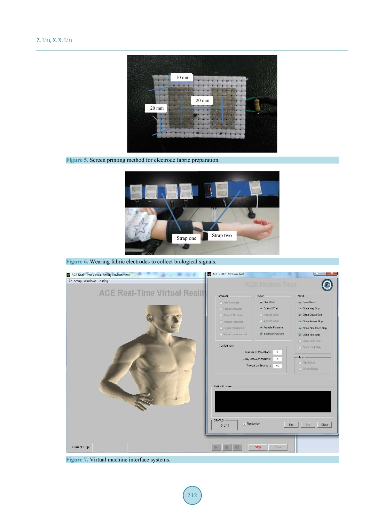<span id="page-8-0"></span>

**Figure 5.** Screen printing method for electrode fabric preparation.

<span id="page-8-1"></span>

**Figure 6.** Wearing fabric electrodes to collect biological signals.

<span id="page-8-2"></span>

**Figure 7.** Virtual machine interface systems.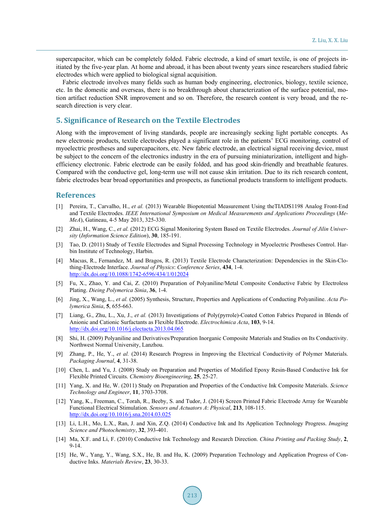supercapacitor, which can be completely folded. Fabric electrode, a kind of smart textile, is one of projects initiated by the five-year plan. At home and abroad, it has been about twenty years since researchers studied fabric electrodes which were applied to biological signal acquisition.

Fabric electrode involves many fields such as human body engineering, electronics, biology, textile science, etc. In the domestic and overseas, there is no breakthrough about characterization of the surface potential, motion artifact reduction SNR improvement and so on. Therefore, the research content is very broad, and the research direction is very clear.

## **5. Significance of Research on the Textile Electrodes**

Along with the improvement of living standards, people are increasingly seeking light portable concepts. As new electronic products, textile electrodes played a significant role in the patients' ECG monitoring, control of myoelectric prostheses and supercapacitors, etc. New fabric electrode, an electrical signal receiving device, must be subject to the concern of the electronics industry in the era of pursuing miniaturization, intelligent and highefficiency electronic. Fabric electrode can be easily folded, and has good skin-friendly and breathable features. Compared with the conductive gel, long-term use will not cause skin irritation. Due to its rich research content, fabric electrodes bear broad opportunities and prospects, as functional products transform to intelligent products.

## **References**

- <span id="page-9-0"></span>[1] Pereira, T., Carvalho, H., *et al.* (2013) Wearable Biopotential Measurement Using theTIADS1198 Analog Front-End and Textile Electrodes. *IEEE International Symposium on Medical Measurements and Applications Proceedings* (*Me-MeA*), Gatineau, 4-5 May 2013, 325-330.
- <span id="page-9-1"></span>[2] Zhai, H., Wang, C., *et al.* (2012) ECG Signal Monitoring System Based on Textile Electrodes. *Journal of Jilin University* (*Information Science Edition*), **30**, 185-191.
- <span id="page-9-2"></span>[3] Tao, D. (2011) Study of Textile Electrodes and Signal Processing Technology in Myoelectric Prostheses Control. Harbin Institute of Technology, Harbin.
- <span id="page-9-3"></span>[4] Macıas, R., Fernandez, M. and Bragos, R. (2013) Textile Electrode Characterization: Dependencies in the Skin-Clothing-Electrode Interface. *Journal of Physics*: *Conference Series*, **434**, 1-4. <http://dx.doi.org/10.1088/1742-6596/434/1/012024>
- <span id="page-9-4"></span>[5] Fu, X., Zhao, Y. and Cai, Z. (2010) Preparation of Polyaniline/Metal Composite Conductive Fabric by Electroless Plating. *Dieing Polymerica Sinia*, **36**, 1-4.
- <span id="page-9-5"></span>[6] Jing, X., Wang, L., *et al.* (2005) Synthesis, Structure, Properties and Applications of Conducting Polyaniline. *Acta Polymerica Sinia*, **5**, 655-663.
- [7] Liang, G., Zhu, L., Xu, J., *et al.* (2013) Investigations of Poly(pyrrole)-Coated Cotton Fabrics Prepared in Blends of Anionic and Cationic Surfactants as Flexible Electrode. *Electrochimica Acta*, **103**, 9-14. <http://dx.doi.org/10.1016/j.electacta.2013.04.065>
- [8] Shi, H. (2009) Polyaniline and Derivatives/Preparation Inorganic Composite Materials and Studies on Its Conductivity. Northwest Normal University, Lanzhou.
- <span id="page-9-6"></span>[9] Zhang, P., He, Y., *et al.* (2014) Research Progress in Improving the Electrical Conductivity of Polymer Materials. *Packaging Journal*, **4**, 31-38.
- <span id="page-9-7"></span>[10] Chen, L. and Yu, J. (2008) Study on Preparation and Properties of Modified Epoxy Resin-Based Conductive Ink for Flexible Printed Circuits. *Chemistry Bioengineering*, **25**, 25-27.
- [11] Yang, X. and He, W. (2011) Study on Preparation and Properties of the Conductive Ink Composite Materials. *Science Technology and Engineer*, **11**, 3703-3708.
- [12] Yang, K., Freeman, C., Torah, R., Beeby, S. and Tudor, J. (2014) Screen Printed Fabric Electrode Array for Wearable Functional Electrical Stimulation. *Sensors and Actuators A*: *Physical*, **213**, 108-115. <http://dx.doi.org/10.1016/j.sna.2014.03.025>
- [13] Li, L.H., Mo, L.X., Ran, J. and Xin, Z.Q. (2014) Conductive Ink and Its Application Technology Progress. *Imaging Science and Photochemistry*, **32**, 393-401.
- [14] Ma, X.F. and Li, F. (2010) Conductive Ink Technology and Research Direction. *China Printing and Packing Study*, **2**, 9-14.
- <span id="page-9-8"></span>[15] He, W., Yang, Y., Wang, S.X., He, B. and Hu, K. (2009) Preparation Technology and Application Progress of Conductive Inks. *Materials Review*, **23**, 30-33.